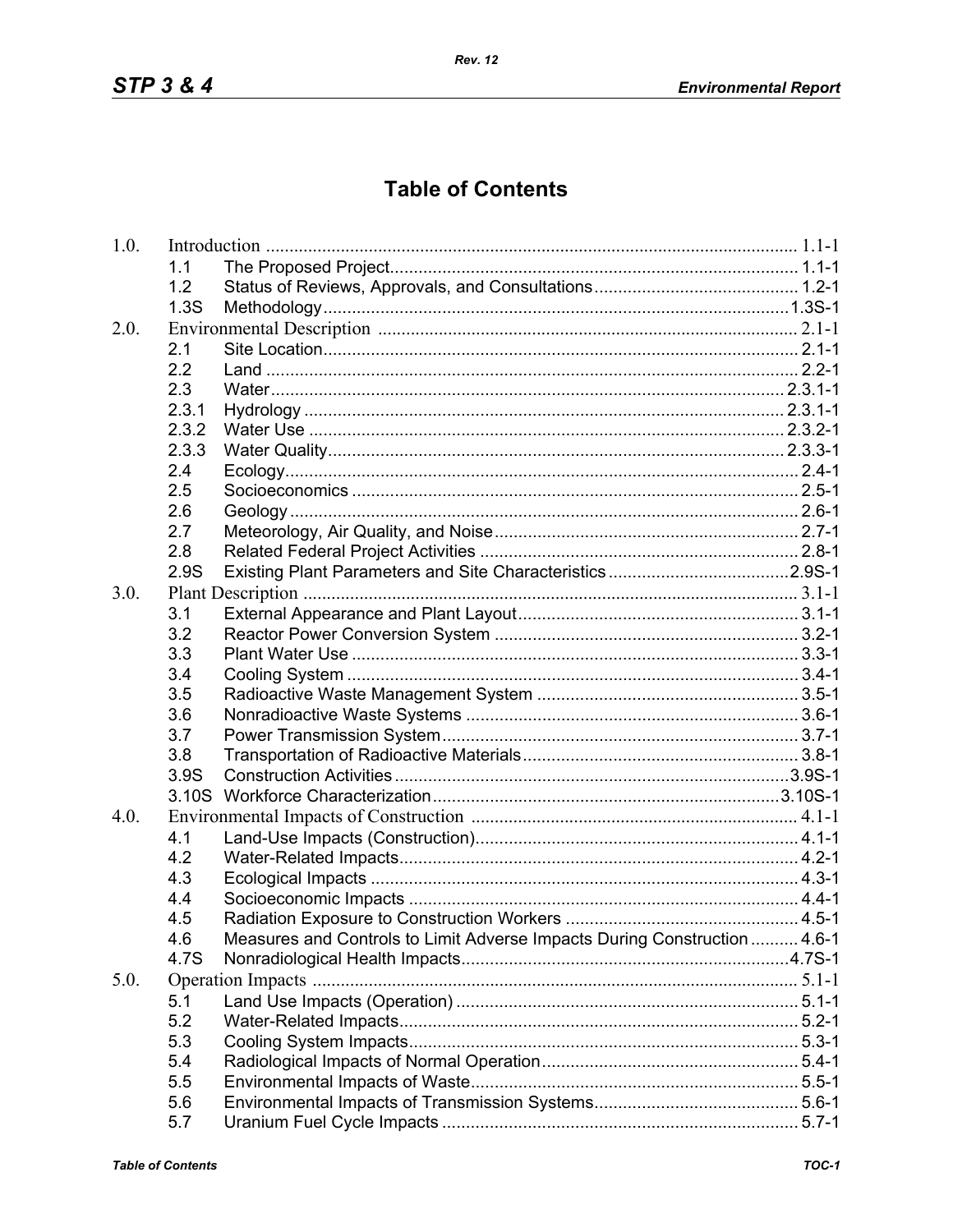## **Table of Contents**

| 1.0. |                   |                                                                           |  |
|------|-------------------|---------------------------------------------------------------------------|--|
|      | 1.1               |                                                                           |  |
|      | 1.2               |                                                                           |  |
|      | 1.3S              |                                                                           |  |
| 2.0. |                   |                                                                           |  |
|      | 2.1               |                                                                           |  |
|      | 2.2               |                                                                           |  |
|      | 2.3               |                                                                           |  |
|      | 2.3.1             |                                                                           |  |
|      | 2.3.2             |                                                                           |  |
|      | 2.3.3             |                                                                           |  |
|      | 2.4               |                                                                           |  |
|      | 2.5               |                                                                           |  |
|      | 2.6               |                                                                           |  |
|      | 2.7               |                                                                           |  |
|      | 2.8               |                                                                           |  |
|      | 2.9S              |                                                                           |  |
| 3.0. |                   |                                                                           |  |
|      | 3.1               |                                                                           |  |
|      | 3.2               |                                                                           |  |
|      | 3.3               |                                                                           |  |
|      | 3.4               |                                                                           |  |
|      | 3.5               |                                                                           |  |
|      | 3.6               |                                                                           |  |
|      | 3.7               |                                                                           |  |
|      | 3.8               |                                                                           |  |
|      | 3.9S              |                                                                           |  |
|      | 3.10 <sub>S</sub> |                                                                           |  |
| 4.0. |                   |                                                                           |  |
|      | 4.1               |                                                                           |  |
|      | 4.2               |                                                                           |  |
|      | 4.3               |                                                                           |  |
|      | 4.4               |                                                                           |  |
|      | 4.5               |                                                                           |  |
|      | 4.6               | Measures and Controls to Limit Adverse Impacts During Construction  4.6-1 |  |
|      | 4.7S              |                                                                           |  |
| 5.0. |                   |                                                                           |  |
|      | 5.1               |                                                                           |  |
|      | 5.2               |                                                                           |  |
|      | 5.3               |                                                                           |  |
|      | 5.4               |                                                                           |  |
|      | 5.5               |                                                                           |  |
|      | 5.6               |                                                                           |  |
|      | 5.7               |                                                                           |  |
|      |                   |                                                                           |  |